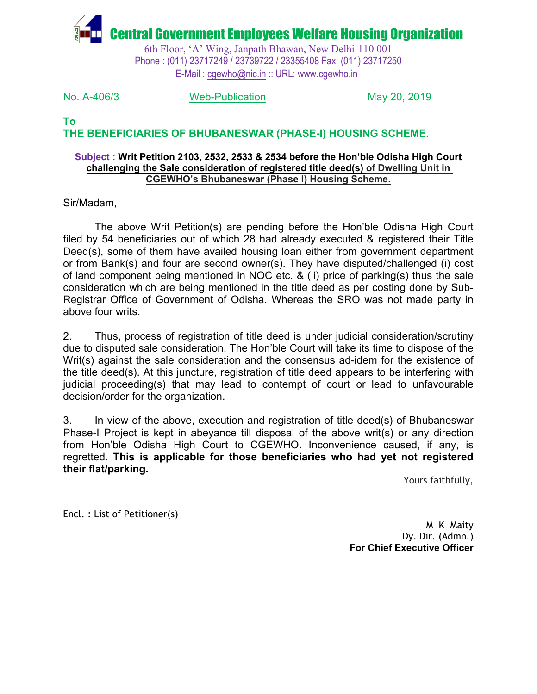

6th Floor, 'A' Wing, Janpath Bhawan, New Delhi-110 001 Phone : (011) 23717249 / 23739722 / 23355408 Fax: (011) 23717250 E-Mail : [cgewho@nic.in](mailto:cgewho@nic.in) :: URL: www.cgewho.in

No. A-406/3 Web-Publication May 20, 2019

## **To THE BENEFICIARIES OF BHUBANESWAR (PHASE-I) HOUSING SCHEME.**

## **Subject : Writ Petition 2103, 2532, 2533 & 2534 before the Hon'ble Odisha High Court challenging the Sale consideration of registered title deed(s) of Dwelling Unit in CGEWHO's Bhubaneswar (Phase I) Housing Scheme.**

Sir/Madam,

The above Writ Petition(s) are pending before the Hon'ble Odisha High Court filed by 54 beneficiaries out of which 28 had already executed & registered their Title Deed(s), some of them have availed housing loan either from government department or from Bank(s) and four are second owner(s). They have disputed/challenged (i) cost of land component being mentioned in NOC etc. & (ii) price of parking(s) thus the sale consideration which are being mentioned in the title deed as per costing done by Sub-Registrar Office of Government of Odisha. Whereas the SRO was not made party in above four writs.

2. Thus, process of registration of title deed is under judicial consideration/scrutiny due to disputed sale consideration. The Hon'ble Court will take its time to dispose of the Writ(s) against the sale consideration and the consensus ad-idem for the existence of the title deed(s). At this juncture, registration of title deed appears to be interfering with judicial proceeding(s) that may lead to contempt of court or lead to unfavourable decision/order for the organization.

3. In view of the above, execution and registration of title deed(s) of Bhubaneswar Phase-I Project is kept in abeyance till disposal of the above writ(s) or any direction from Hon'ble Odisha High Court to CGEWHO**.** Inconvenience caused, if any, is regretted. **This is applicable for those beneficiaries who had yet not registered their flat/parking.**

Yours faithfully,

Encl. : List of Petitioner(s)

M K Maity Dy. Dir. (Admn.) **For Chief Executive Officer**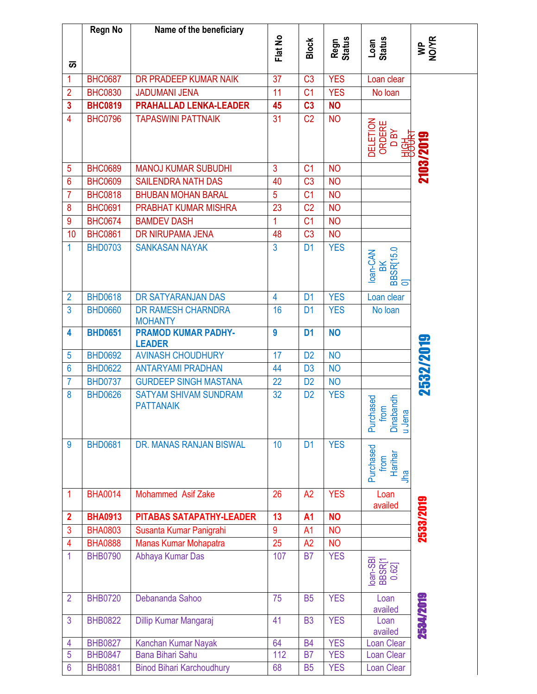|                 | <b>Regn No</b> | Name of the beneficiary                          |                |                |                |                                                                         |             |
|-----------------|----------------|--------------------------------------------------|----------------|----------------|----------------|-------------------------------------------------------------------------|-------------|
|                 |                |                                                  |                | <b>Block</b>   | Regn<br>Status | Loan<br>Status                                                          |             |
|                 |                |                                                  | Flat No        |                |                |                                                                         | WP<br>NO/YR |
| あ               |                |                                                  |                |                |                |                                                                         |             |
| 1               | <b>BHC0687</b> | DR PRADEEP KUMAR NAIK                            | 37             | C <sub>3</sub> | <b>YES</b>     | Loan clear                                                              |             |
| $\overline{2}$  | <b>BHC0830</b> | <b>JADUMANI JENA</b>                             | 11             | C <sub>1</sub> | <b>YES</b>     | No loan                                                                 |             |
| 3               | <b>BHC0819</b> | <b>PRAHALLAD LENKA-LEADER</b>                    | 45             | C <sub>3</sub> | <b>NO</b>      |                                                                         |             |
| 4               | <b>BHC0796</b> | <b>TAPASWINI PATTNAIK</b>                        | 31             | C <sub>2</sub> | <b>NO</b>      | <b>DELETION</b><br>ORDERE<br>DBY<br><b>1994年</b>                        | 2103/2019   |
| 5               | <b>BHC0689</b> | <b>MANOJ KUMAR SUBUDHI</b>                       | $\mathbf{3}$   | C <sub>1</sub> | <b>NO</b>      |                                                                         |             |
| $6\phantom{1}6$ | <b>BHC0609</b> | <b>SAILENDRA NATH DAS</b>                        | 40             | C <sub>3</sub> | <b>NO</b>      |                                                                         |             |
| $\overline{7}$  | <b>BHC0818</b> | <b>BHUBAN MOHAN BARAL</b>                        | 5              | C <sub>1</sub> | <b>NO</b>      |                                                                         |             |
| 8               | <b>BHC0691</b> | PRABHAT KUMAR MISHRA                             | 23             | C <sub>2</sub> | <b>NO</b>      |                                                                         |             |
| $\overline{9}$  | <b>BHC0674</b> | <b>BAMDEV DASH</b>                               | 1              | C <sub>1</sub> | <b>NO</b>      |                                                                         |             |
| 10              | <b>BHC0861</b> | DR NIRUPAMA JENA                                 | 48             | C <sub>3</sub> | <b>NO</b>      |                                                                         |             |
| $\mathbf{1}$    | <b>BHD0703</b> | <b>SANKASAN NAYAK</b>                            | 3              | D <sub>1</sub> | <b>YES</b>     | BK<br>BBSR[15.0<br>loan-CAN<br>$\overline{\sigma}$                      |             |
| $\overline{2}$  | <b>BHD0618</b> | DR SATYARANJAN DAS                               | $\overline{4}$ | D <sub>1</sub> | <b>YES</b>     | Loan clear                                                              |             |
| 3               | <b>BHD0660</b> | DR RAMESH CHARNDRA<br><b>MOHANTY</b>             | 16             | D <sub>1</sub> | <b>YES</b>     | No loan                                                                 |             |
| 4               | <b>BHD0651</b> | <b>PRAMOD KUMAR PADHY-</b><br><b>LEADER</b>      | 9              | D <sub>1</sub> | <b>NO</b>      |                                                                         | 2532/2019   |
| 5               | <b>BHD0692</b> | <b>AVINASH CHOUDHURY</b>                         | 17             | D <sub>2</sub> | <b>NO</b>      |                                                                         |             |
| $6\phantom{1}6$ | <b>BHD0622</b> | <b>ANTARYAMI PRADHAN</b>                         | 44             | D <sub>3</sub> | <b>NO</b>      |                                                                         |             |
| 7               | <b>BHD0737</b> | <b>GURDEEP SINGH MASTANA</b>                     | 22             | D <sub>2</sub> | <b>NO</b>      |                                                                         |             |
| 8               | <b>BHD0626</b> | <b>SATYAM SHIVAM SUNDRAM</b><br><b>PATTANAIK</b> | 32             | D <sub>2</sub> | <b>YES</b>     | <b>Dinabandh</b><br>Purchased<br>from<br>$\boldsymbol{\varpi}$<br>u Jen |             |
| 9               | <b>BHD0681</b> | DR. MANAS RANJAN BISWAL                          | 10             | D <sub>1</sub> | <b>YES</b>     | Purchased<br>Harihar<br>from<br>Jha                                     |             |
| $\mathbf 1$     | <b>BHA0014</b> | <b>Mohammed Asif Zake</b>                        | 26             | A2             | <b>YES</b>     | Loan<br>availed                                                         | 2533/2019   |
| $\overline{2}$  | <b>BHA0913</b> | PITABAS SATAPATHY-LEADER                         | 13             | <b>A1</b>      | <b>NO</b>      |                                                                         |             |
| 3               | <b>BHA0803</b> | Susanta Kumar Panigrahi                          | 9              | A1             | <b>NO</b>      |                                                                         |             |
| $\overline{4}$  | <b>BHA0888</b> | Manas Kumar Mohapatra                            | 25             | A2             | <b>NO</b>      |                                                                         |             |
| 1               | <b>BHB0790</b> | Abhaya Kumar Das                                 | 107            | <b>B7</b>      | <b>YES</b>     | loan-SBI<br>BBSR[1<br>0.62]                                             |             |
| $\overline{2}$  | <b>BHB0720</b> | Debananda Sahoo                                  | 75             | <b>B5</b>      | <b>YES</b>     | Loan<br>availed                                                         | 2534/2019   |
| 3               | <b>BHB0822</b> | Dillip Kumar Mangaraj                            | 41             | <b>B3</b>      | <b>YES</b>     | Loan<br>availed                                                         |             |
| 4               | <b>BHB0827</b> | Kanchan Kumar Nayak                              | 64             | <b>B4</b>      | <b>YES</b>     | Loan Clear                                                              |             |
| 5               | <b>BHB0847</b> | <b>Bana Bihari Sahu</b>                          | 112            | <b>B7</b>      | <b>YES</b>     | <b>Loan Clear</b>                                                       |             |
| $6\phantom{1}6$ | <b>BHB0881</b> | <b>Binod Bihari Karchoudhury</b>                 | 68             | <b>B5</b>      | <b>YES</b>     | Loan Clear                                                              |             |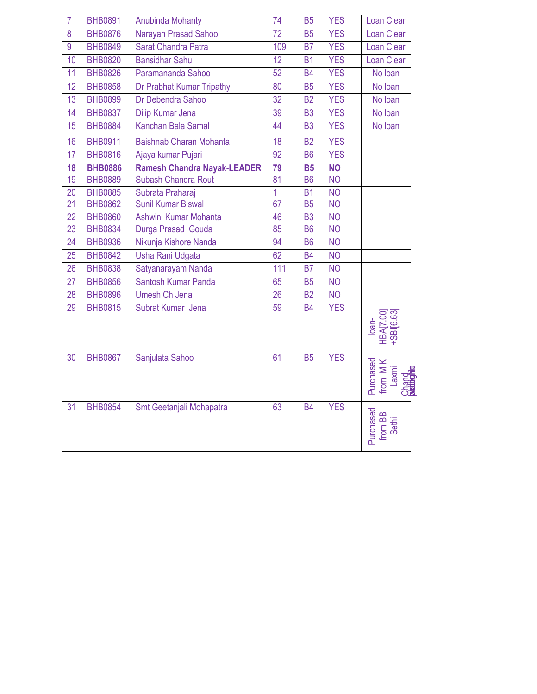| $\overline{7}$ | <b>BHB0891</b> | <b>Anubinda Mohanty</b>            | 74             | <b>B5</b>      | <b>YES</b> | Loan Clear                                |
|----------------|----------------|------------------------------------|----------------|----------------|------------|-------------------------------------------|
| 8              | <b>BHB0876</b> | Narayan Prasad Sahoo               | 72             | <b>B5</b>      | <b>YES</b> | Loan Clear                                |
| 9              | <b>BHB0849</b> | Sarat Chandra Patra                | 109            | B <sub>7</sub> | <b>YES</b> | Loan Clear                                |
| 10             | <b>BHB0820</b> | <b>Bansidhar Sahu</b>              | 12             | <b>B1</b>      | <b>YES</b> | <b>Loan Clear</b>                         |
| 11             | <b>BHB0826</b> | Paramananda Sahoo                  | 52             | <b>B4</b>      | <b>YES</b> | No loan                                   |
| 12             | <b>BHB0858</b> | Dr Prabhat Kumar Tripathy          | 80             | <b>B5</b>      | <b>YES</b> | No Ioan                                   |
| 13             | <b>BHB0899</b> | Dr Debendra Sahoo                  | 32             | B <sub>2</sub> | <b>YES</b> | No loan                                   |
| 14             | <b>BHB0837</b> | Dilip Kumar Jena                   | 39             | B <sub>3</sub> | <b>YES</b> | No Ioan                                   |
| 15             | <b>BHB0884</b> | Kanchan Bala Samal                 | 44             | <b>B3</b>      | <b>YES</b> | No loan                                   |
| 16             | <b>BHB0911</b> | Baishnab Charan Mohanta            | 18             | B <sub>2</sub> | <b>YES</b> |                                           |
| 17             | <b>BHB0816</b> | Ajaya kumar Pujari                 | 92             | <b>B6</b>      | <b>YES</b> |                                           |
| 18             | <b>BHB0886</b> | <b>Ramesh Chandra Nayak-LEADER</b> | 79             | <b>B5</b>      | <b>NO</b>  |                                           |
| 19             | <b>BHB0889</b> | Subash Chandra Rout                | 81             | <b>B6</b>      | <b>NO</b>  |                                           |
| 20             | <b>BHB0885</b> | Subrata Praharaj                   | $\overline{1}$ | <b>B1</b>      | <b>NO</b>  |                                           |
| 21             | <b>BHB0862</b> | <b>Sunil Kumar Biswal</b>          | 67             | <b>B5</b>      | <b>NO</b>  |                                           |
| 22             | <b>BHB0860</b> | Ashwini Kumar Mohanta              | 46             | B <sub>3</sub> | <b>NO</b>  |                                           |
| 23             | <b>BHB0834</b> | Durga Prasad Gouda                 | 85             | <b>B6</b>      | <b>NO</b>  |                                           |
| 24             | <b>BHB0936</b> | Nikunja Kishore Nanda              | 94             | <b>B6</b>      | <b>NO</b>  |                                           |
| 25             | <b>BHB0842</b> | Usha Rani Udgata                   | 62             | <b>B4</b>      | <b>NO</b>  |                                           |
| 26             | <b>BHB0838</b> | Satyanarayam Nanda                 | 111            | <b>B7</b>      | <b>NO</b>  |                                           |
| 27             | <b>BHB0856</b> | Santosh Kumar Panda                | 65             | <b>B5</b>      | <b>NO</b>  |                                           |
| 28             | <b>BHB0896</b> | Umesh Ch Jena                      | 26             | <b>B2</b>      | <b>NO</b>  |                                           |
| 29             | <b>BHB0815</b> | Subrat Kumar Jena                  | 59             | <b>B4</b>      | <b>YES</b> | loan-<br>HBA[7.00]<br>+SBI[6.63]          |
| 30             | <b>BHB0867</b> | Sanjulata Sahoo                    | 61             | <b>B5</b>      | <b>YES</b> | Purchased<br>from M K<br>Laxmi<br>Changto |
| 31             | <b>BHB0854</b> | Smt Geetanjali Mohapatra           | 63             | <b>B4</b>      | <b>YES</b> | Purchased<br>from BB<br>Sethi             |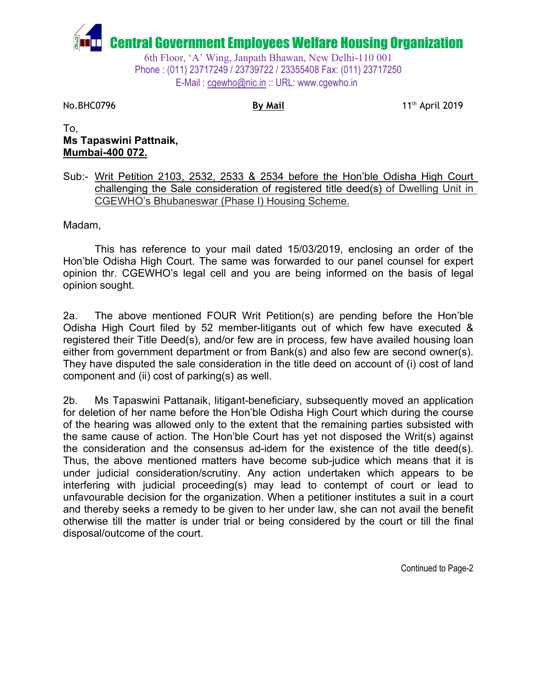

**No.BHC0796 By Mail By Mail By Mail** 11<sup>th</sup> April 2019

To, **Ms Tapaswini Pattnaik, Mumbai-400 072.**

Sub:- Writ Petition 2103, 2532, 2533 & 2534 before the Hon'ble Odisha High Court challenging the Sale consideration of registered title deed(s) of Dwelling Unit in CGEWHO's Bhubaneswar (Phase I) Housing Scheme.

Madam,

This has reference to your mail dated 15/03/2019, enclosing an order of the Hon'ble Odisha High Court. The same was forwarded to our panel counsel for expert opinion thr. CGEWHO's legal cell and you are being informed on the basis of legal opinion sought.

2a. The above mentioned FOUR Writ Petition(s) are pending before the Hon'ble Odisha High Court filed by 52 member-litigants out of which few have executed & registered their Title Deed(s), and/or few are in process, few have availed housing loan either from government department or from Bank(s) and also few are second owner(s). They have disputed the sale consideration in the title deed on account of (i) cost of land component and (ii) cost of parking(s) as well.

2b. Ms Tapaswini Pattanaik, litigant-beneficiary, subsequently moved an application for deletion of her name before the Hon'ble Odisha High Court which during the course of the hearing was allowed only to the extent that the remaining parties subsisted with the same cause of action. The Hon'ble Court has yet not disposed the Writ(s) against the consideration and the consensus ad-idem for the existence of the title deed(s). Thus, the above mentioned matters have become sub-judice which means that it is under judicial consideration/scrutiny. Any action undertaken which appears to be interfering with judicial proceeding(s) may lead to contempt of court or lead to unfavourable decision for the organization. When a petitioner institutes a suit in a court and thereby seeks a remedy to be given to her under law, she can not avail the benefit otherwise till the matter is under trial or being considered by the court or till the final disposal/outcome of the court.

Continued to Page-2